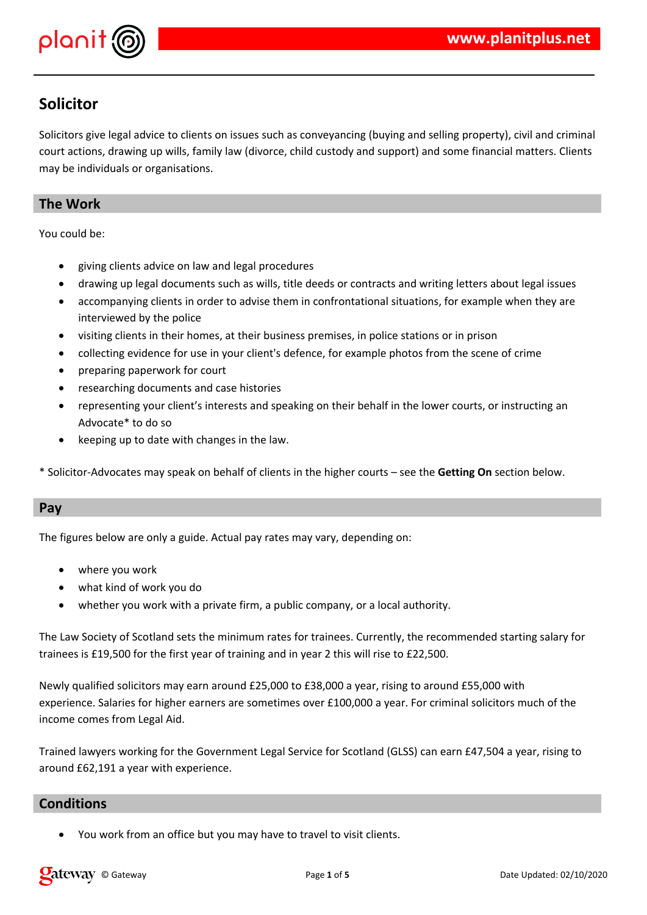

# **Solicitor**

Solicitors give legal advice to clients on issues such as conveyancing (buying and selling property), civil and criminal court actions, drawing up wills, family law (divorce, child custody and support) and some financial matters. Clients may be individuals or organisations.

#### **The Work**

You could be:

- giving clients advice on law and legal procedures
- drawing up legal documents such as wills, title deeds or contracts and writing letters about legal issues
- accompanying clients in order to advise them in confrontational situations, for example when they are interviewed by the police
- visiting clients in their homes, at their business premises, in police stations or in prison
- collecting evidence for use in your client's defence, for example photos from the scene of crime
- preparing paperwork for court
- researching documents and case histories
- representing your client's interests and speaking on their behalf in the lower courts, or instructing an Advocate\* to do so
- keeping up to date with changes in the law.

\* Solicitor-Advocates may speak on behalf of clients in the higher courts – see the **Getting On** section below.

#### **Pay**

The figures below are only a guide. Actual pay rates may vary, depending on:

- where you work
- what kind of work you do
- whether you work with a private firm, a public company, or a local authority.

The Law Society of Scotland sets the minimum rates for trainees. Currently, the recommended starting salary for trainees is £19,500 for the first year of training and in year 2 this will rise to £22,500.

Newly qualified solicitors may earn around £25,000 to £38,000 a year, rising to around £55,000 with experience. Salaries for higher earners are sometimes over £100,000 a year. For criminal solicitors much of the income comes from Legal Aid.

Trained lawyers working for the Government Legal Service for Scotland (GLSS) can earn £47,504 a year, rising to around £62,191 a year with experience.

#### **Conditions**

You work from an office but you may have to travel to visit clients.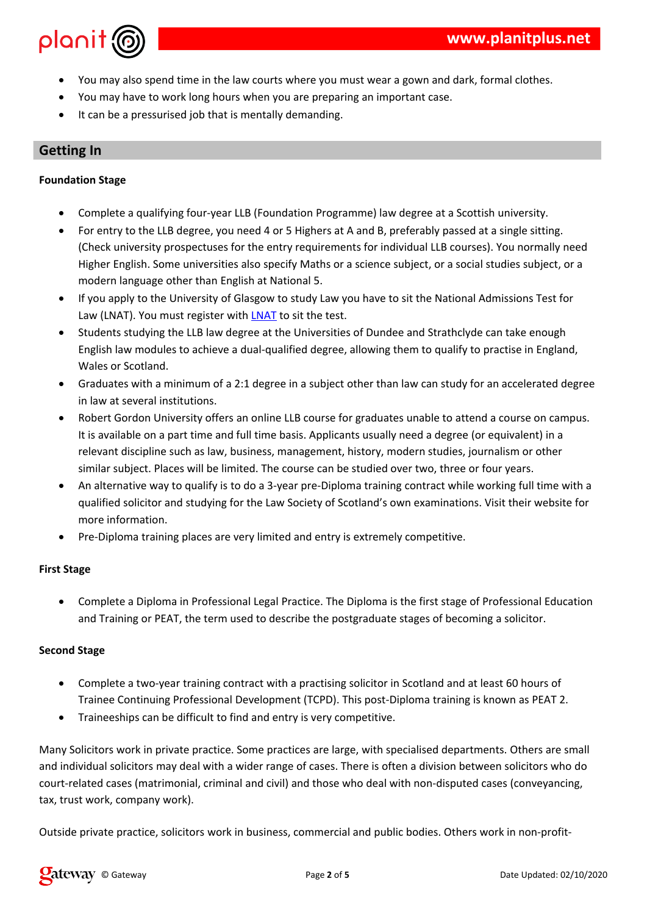| & # |                               | $\overline{t}$ |  |            | # |   | $\frac{1}{2}$ (1) $\frac{1}{2}$ (1) $\frac{1}{2}$ (1) $\frac{1}{2}$ (1) $\frac{1}{2}$ (1) $\frac{1}{2}$ (1) $\frac{1}{2}$ (1) $\frac{1}{2}$ (1) $\frac{1}{2}$ (1) $\frac{1}{2}$ (1) $\frac{1}{2}$ (1) $\frac{1}{2}$ (1) $\frac{1}{2}$ (1) $\frac{1}{2}$ (1) $\frac{1}{2}$ (1) $\frac{1}{2}$ ( |  |
|-----|-------------------------------|----------------|--|------------|---|---|-----------------------------------------------------------------------------------------------------------------------------------------------------------------------------------------------------------------------------------------------------------------------------------------------|--|
| & # |                               |                |  |            |   | # | $\mathfrak s$                                                                                                                                                                                                                                                                                 |  |
|     | $\prec$ and the set of $\sim$ |                |  | $=$ # # \$ |   |   |                                                                                                                                                                                                                                                                                               |  |

| $%$ #                     | 5 <sub>1</sub>            |                                        | 00 >               | 8# # !               |                    |                                           | \$                        |
|---------------------------|---------------------------|----------------------------------------|--------------------|----------------------|--------------------|-------------------------------------------|---------------------------|
| 8                         | 00                        | $\mathbf{H}$<br>9                      | ?3<br>$+$          | $>$ "                |                    |                                           |                           |
| $\%$                      | $\left( \right)$          |                                        | $\sqrt{5}$<br>$\#$ |                      | 00                 | ! \$8                                     | #                         |
| $\ddot{?}$                | \$<br>$\#$<br>@           |                                        | $\mathsf{A}$       |                      | Η<br>$=$           |                                           | $\pmb{\mathsf{H}}$<br>$=$ |
| $\#$                      |                           | $^{\circledR}$                         | 43\$               |                      |                    |                                           |                           |
| $\,<$                     |                           |                                        | $\boldsymbol{0}$   |                      | $\overline{4}$     | $\#$<br>$+$                               |                           |
| $\pmb{0}$                 | $04+/1$ \$ &              | $\#$<br>$04+1$                         | \$                 |                      |                    |                                           |                           |
|                           |                           | $0.0 >$                                |                    |                      |                    |                                           |                           |
| $^\text{\textregistered}$ | #                         | $-5$                                   | $\mathbf{H}$       |                      | 5#                 | $^{\copyright}$                           | $\mathbf H$               |
| $\sf B$                   | $\boldsymbol{\theta}$     |                                        |                    |                      |                    |                                           |                           |
|                           | $\#$                      | # $#$                                  | $=$                |                      |                    |                                           |                           |
|                           |                           | \$                                     |                    |                      |                    |                                           |                           |
| $\mathsf C$               |                           |                                        | $0.0 >$            |                      |                    |                                           | $\#$<br>$\ddot{\cdot}$    |
| $\,<$                     |                           | $\#$<br>$\#$                           | $\clubsuit$        |                      |                    | 5                                         | Ţ                         |
|                           |                           | $\blacksquare$<br>$\mathbf{u}_{\perp}$ | $\#$<br>$\#$       | H<br>$\#$            | н<br>$=$           | $\#$<br>Π                                 |                           |
| $\#$                      | \$<br>$=$                 | $\#$<br>$/$ \$                         |                    |                      | $\pmb{\mathsf{H}}$ |                                           | \$                        |
| $\ddagger$                |                           | $6 -$<br>$\overline{5}$                |                    | $\#$                 |                    |                                           | $\#$                      |
| $\mathbf 5$               |                           | $\mathbf 0$                            |                    | $\star$              | $\#$<br>٠          | D \$                                      |                           |
| $\#$                      | $\boldsymbol{\$}$<br>$\#$ |                                        |                    |                      |                    |                                           |                           |
|                           | $\#$                      | $\#$                                   |                    | $\mathbf{I}$<br>$\#$ | $\#$               | $\, \, \raisebox{12pt}{$\scriptstyle \$}$ |                           |
|                           |                           |                                        |                    |                      |                    |                                           |                           |
|                           |                           |                                        |                    |                      |                    |                                           |                           |
|                           |                           |                                        |                    |                      |                    |                                           |                           |

0\$ #  $\mathfrak s$  $#$ 



 $\begin{pmatrix} 0 & 0 \\ 0 & 0 \end{pmatrix}$  $\begin{array}{cccc} \text{\$} & \text{\$} & \\ \text{\$} & \text{\$} & \text{\$} & \end{array}$  $E$ # #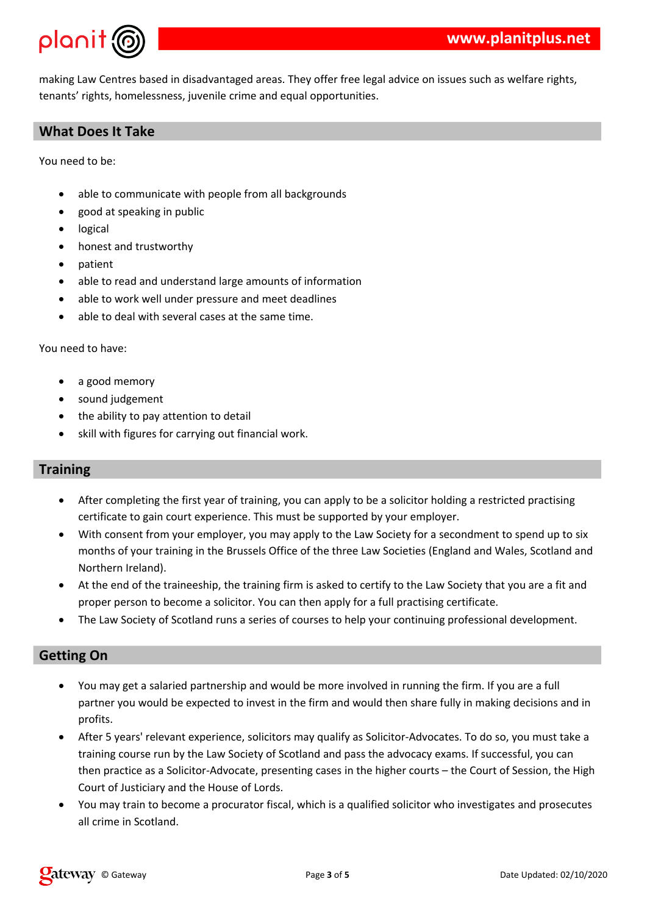

making Law Centres based in disadvantaged areas. They offer free legal advice on issues such as welfare rights, tenants' rights, homelessness, juvenile crime and equal opportunities.

### **What Does It Take**

You need to be:

- able to communicate with people from all backgrounds
- good at speaking in public
- logical
- honest and trustworthy
- patient
- able to read and understand large amounts of information
- able to work well under pressure and meet deadlines
- able to deal with several cases at the same time.

#### You need to have:

- a good memory
- sound judgement
- the ability to pay attention to detail
- skill with figures for carrying out financial work.

#### **Training**

- After completing the first year of training, you can apply to be a solicitor holding a restricted practising certificate to gain court experience. This must be supported by your employer.
- With consent from your employer, you may apply to the Law Society for a secondment to spend up to six months of your training in the Brussels Office of the three Law Societies (England and Wales, Scotland and Northern Ireland).
- At the end of the traineeship, the training firm is asked to certify to the Law Society that you are a fit and proper person to become a solicitor. You can then apply for a full practising certificate.
- The Law Society of Scotland runs a series of courses to help your continuing professional development.

#### **Getting On**

- You may get a salaried partnership and would be more involved in running the firm. If you are a full partner you would be expected to invest in the firm and would then share fully in making decisions and in profits.
- After 5 years' relevant experience, solicitors may qualify as Solicitor-Advocates. To do so, you must take a training course run by the Law Society of Scotland and pass the advocacy exams. If successful, you can then practice as a Solicitor-Advocate, presenting cases in the higher courts – the Court of Session, the High Court of Justiciary and the House of Lords.
- You may train to become a procurator fiscal, which is a qualified solicitor who investigates and prosecutes all crime in Scotland.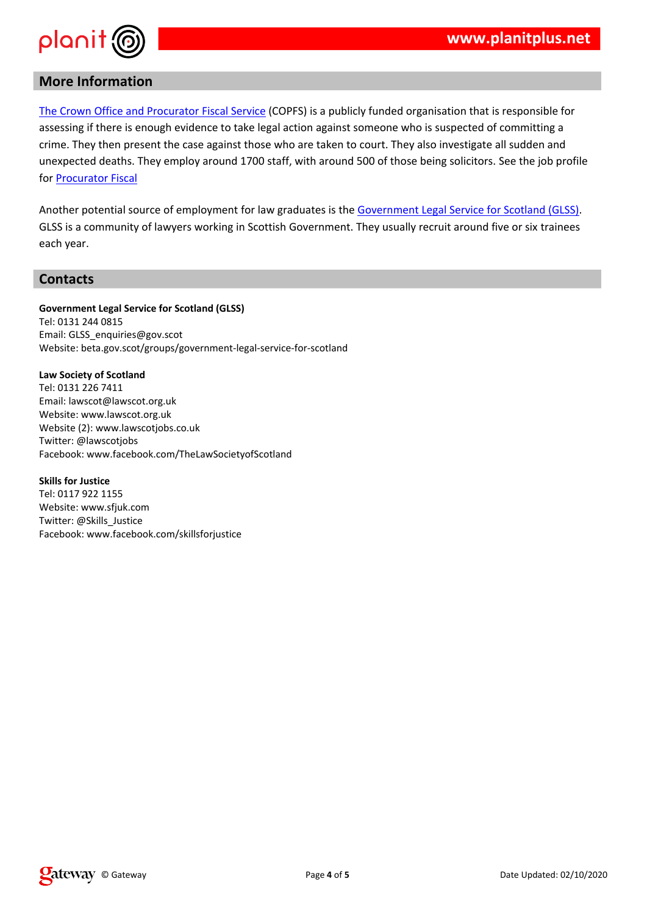

 $\bar{\mathbf{u}}$ 

| $\&$                              | $\%$<br>$\mathcal{A}$         | $\&$<br>\$                                                    |                                          |     |  |
|-----------------------------------|-------------------------------|---------------------------------------------------------------|------------------------------------------|-----|--|
| $\sqrt{2}$                        | $\,6\,$<br>99                 | 7 <sup>3</sup>                                                |                                          |     |  |
| @#                                | $\frac{G}{\$}$<br>$\mathbf 0$ | $5\overline{)}$<br>Н                                          | \$                                       |     |  |
| B                                 |                               | $\boldsymbol{\mathsf{\$}}$                                    |                                          | #   |  |
| ٠                                 | \$                            |                                                               |                                          |     |  |
| $\overline{1}$                    | $\,6$<br>; : 9                |                                                               |                                          |     |  |
| $^\text{\textregistered}$<br>$\#$ |                               | H<br>$\begin{array}{c}\n\circ \\ \circ \\ \circ\n\end{array}$ | $\sqrt{2}$                               |     |  |
| $\sf B$                           | \$                            | $\pmb{\mathfrak{P}}$                                          | $\rightarrow$                            |     |  |
| B                                 | 15                            | $=$                                                           | $\sqrt[6]{\frac{1}{2}}$<br>$\rightarrow$ |     |  |
| $\overline{1}$                    | Н                             | $=$                                                           |                                          |     |  |
| 8                                 | \$<br>$\mathcal{E}$           | $)$ \$                                                        | # $/$<br>$\overline{0}$                  |     |  |
|                                   |                               |                                                               |                                          |     |  |
|                                   | \$                            |                                                               |                                          |     |  |
| $\overline{1}$                    | $\therefore$ 2                | 33                                                            |                                          |     |  |
| B                                 | $\boldsymbol{\mathsf{S}}$     | $=$ $)$ \$<br>#                                               |                                          |     |  |
| $\sqrt{\phantom{a}}$              | $H$ )                         | G F                                                           |                                          |     |  |
| 8                                 | \$                            | $)$ \$                                                        | $\#$<br>$\rightarrow$                    | $=$ |  |